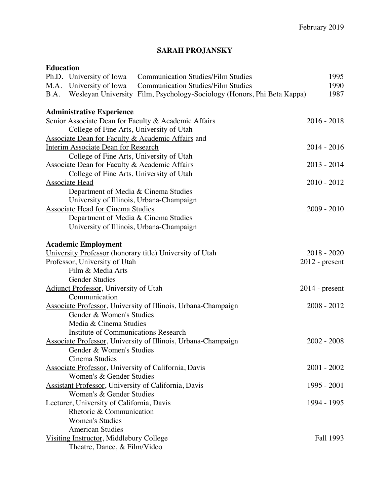# **SARAH PROJANSKY**

## **Education**

|      | Ph.D. University of Iowa                                     | <b>Communication Studies/Film Studies</b>                               | 1995             |
|------|--------------------------------------------------------------|-------------------------------------------------------------------------|------------------|
|      | M.A. University of Iowa                                      | <b>Communication Studies/Film Studies</b>                               | 1990             |
| B.A. |                                                              | Wesleyan University Film, Psychology-Sociology (Honors, Phi Beta Kappa) | 1987             |
|      | <b>Administrative Experience</b>                             |                                                                         |                  |
|      |                                                              | Senior Associate Dean for Faculty & Academic Affairs                    | $2016 - 2018$    |
|      | College of Fine Arts, University of Utah                     |                                                                         |                  |
|      |                                                              | Associate Dean for Faculty & Academic Affairs and                       |                  |
|      | Interim Associate Dean for Research                          |                                                                         | $2014 - 2016$    |
|      | College of Fine Arts, University of Utah                     |                                                                         |                  |
|      | <b>Associate Dean for Faculty &amp; Academic Affairs</b>     |                                                                         | $2013 - 2014$    |
|      | College of Fine Arts, University of Utah                     |                                                                         |                  |
|      | Associate Head                                               |                                                                         | $2010 - 2012$    |
|      | Department of Media & Cinema Studies                         |                                                                         |                  |
|      | University of Illinois, Urbana-Champaign                     |                                                                         |                  |
|      | <b>Associate Head for Cinema Studies</b>                     |                                                                         | 2009 - 2010      |
|      | Department of Media & Cinema Studies                         |                                                                         |                  |
|      | University of Illinois, Urbana-Champaign                     |                                                                         |                  |
|      |                                                              |                                                                         |                  |
|      | <b>Academic Employment</b>                                   |                                                                         |                  |
|      |                                                              | University Professor (honorary title) University of Utah                | $2018 - 2020$    |
|      | Professor, University of Utah                                |                                                                         | $2012$ - present |
|      | Film & Media Arts                                            |                                                                         |                  |
|      | <b>Gender Studies</b>                                        |                                                                         |                  |
|      | <b>Adjunct Professor</b> , University of Utah                |                                                                         | $2014$ - present |
|      | Communication                                                |                                                                         |                  |
|      |                                                              | Associate Professor, University of Illinois, Urbana-Champaign           | $2008 - 2012$    |
|      | Gender & Women's Studies                                     |                                                                         |                  |
|      | Media & Cinema Studies                                       |                                                                         |                  |
|      | <b>Institute of Communications Research</b>                  |                                                                         |                  |
|      |                                                              | Associate Professor, University of Illinois, Urbana-Champaign           | $2002 - 2008$    |
|      | Gender & Women's Studies                                     |                                                                         |                  |
|      | Cinema Studies                                               |                                                                         |                  |
|      |                                                              | <b>Associate Professor</b> , University of California, Davis            | $2001 - 2002$    |
|      | Women's & Gender Studies                                     |                                                                         |                  |
|      | <b>Assistant Professor</b> , University of California, Davis |                                                                         | 1995 - 2001      |
|      | Women's & Gender Studies                                     |                                                                         |                  |
|      | Lecturer, University of California, Davis                    |                                                                         | 1994 - 1995      |
|      | Rhetoric & Communication                                     |                                                                         |                  |
|      | <b>Women's Studies</b>                                       |                                                                         |                  |
|      | <b>American Studies</b>                                      |                                                                         |                  |
|      | Visiting Instructor, Middlebury College                      |                                                                         | Fall 1993        |
|      | Theatre, Dance, & Film/Video                                 |                                                                         |                  |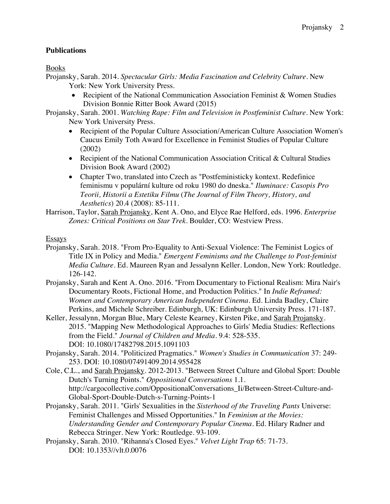# **Publications**

Books

- Projansky, Sarah. 2014. *Spectacular Girls: Media Fascination and Celebrity Culture*. New York: New York University Press.
	- Recipient of the National Communication Association Feminist & Women Studies Division Bonnie Ritter Book Award (2015)
- Projansky, Sarah. 2001. *Watching Rape: Film and Television in Postfeminist Culture*. New York: New York University Press.
	- Recipient of the Popular Culture Association/American Culture Association Women's Caucus Emily Toth Award for Excellence in Feminist Studies of Popular Culture (2002)
	- Recipient of the National Communication Association Critical & Cultural Studies Division Book Award (2002)
	- Chapter Two, translated into Czech as "Postfeministicky kontext. Redefinice feminismu v populární kulture od roku 1980 do dneska." *Iluminace: Casopis Pro Teorii, Historii a Estetiku Filmu* (*The Journal of Film Theory, History, and Aesthetics*) 20.4 (2008): 85-111.
- Harrison, Taylor, Sarah Projansky, Kent A. Ono, and Elyce Rae Helford, eds. 1996. *Enterprise Zones: Critical Positions on Star Trek*. Boulder, CO: Westview Press.

Essays

- Projansky, Sarah. 2018. "From Pro-Equality to Anti-Sexual Violence: The Feminist Logics of Title IX in Policy and Media." *Emergent Feminisms and the Challenge to Post-feminist Media Culture*. Ed. Maureen Ryan and Jessalynn Keller. London, New York: Routledge. 126-142.
- Projansky, Sarah and Kent A. Ono. 2016. "From Documentary to Fictional Realism: Mira Nair's Documentary Roots, Fictional Home, and Production Politics." In *Indie Reframed: Women and Contemporary American Independent Cinema*. Ed. Linda Badley, Claire Perkins, and Michele Schreiber. Edinburgh, UK: Edinburgh University Press. 171-187.
- Keller, Jessalynn, Morgan Blue, Mary Celeste Kearney, Kirsten Pike, and Sarah Projansky. 2015. "Mapping New Methodological Approaches to Girls' Media Studies: Reflections from the Field." *Journal of Children and Media.* 9.4: 528-535. DOI: 10.1080/17482798.2015.1091103
- Projansky, Sarah. 2014. "Politicized Pragmatics." *Women's Studies in Communication* 37: 249- 253. DOI: 10.1080/07491409.2014.955428
- Cole, C.L., and Sarah Projansky. 2012-2013. "Between Street Culture and Global Sport: Double Dutch's Turning Points." *Oppositional Conversations* 1.1. http://cargocollective.com/OppositionalConversations\_Ii/Between-Street-Culture-and-Global-Sport-Double-Dutch-s-Turning-Points-1
- Projansky, Sarah. 2011. "Girls' Sexualities in the *Sisterhood of the Traveling Pants* Universe: Feminist Challenges and Missed Opportunities." In *Feminism at the Movies: Understanding Gender and Contemporary Popular Cinema.* Ed. Hilary Radner and Rebecca Stringer. New York: Routledge. 93-109.
- Projansky, Sarah. 2010. "Rihanna's Closed Eyes." *Velvet Light Trap* 65: 71-73. DOI: 10.1353//vlt.0.0076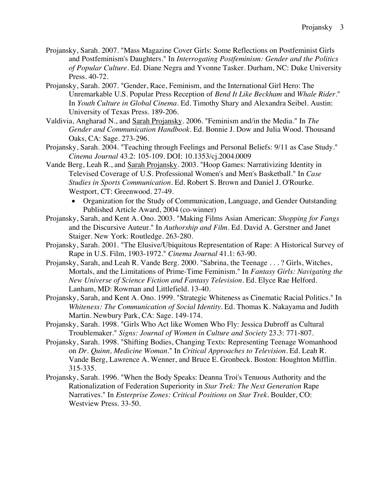- Projansky, Sarah. 2007. "Mass Magazine Cover Girls: Some Reflections on Postfeminist Girls and Postfeminism's Daughters." In *Interrogating Postfeminism: Gender and the Politics of Popular Culture*. Ed. Diane Negra and Yvonne Tasker. Durham, NC: Duke University Press. 40-72.
- Projansky, Sarah. 2007. "Gender, Race, Feminism, and the International Girl Hero: The Unremarkable U.S. Popular Press Reception of *Bend It Like Beckham* and *Whale Rider*." In *Youth Culture in Global Cinema*. Ed. Timothy Shary and Alexandra Seibel. Austin: University of Texas Press. 189-206.
- Valdivia, Angharad N., and Sarah Projansky. 2006. "Feminism and/in the Media." In *The Gender and Communication Handbook*. Ed. Bonnie J. Dow and Julia Wood. Thousand Oaks, CA: Sage. 273-296.
- Projansky, Sarah. 2004. "Teaching through Feelings and Personal Beliefs: 9/11 as Case Study." *Cinema Journal* 43.2: 105-109. DOI: 10.1353/cj.2004.0009
- Vande Berg, Leah R., and Sarah Projansky. 2003. "Hoop Games: Narrativizing Identity in Televised Coverage of U.S. Professional Women's and Men's Basketball." In *Case Studies in Sports Communication*. Ed. Robert S. Brown and Daniel J. O'Rourke. Westport, CT: Greenwood. 27-49.
	- Organization for the Study of Communication, Language, and Gender Outstanding Published Article Award, 2004 (co-winner)
- Projansky, Sarah, and Kent A. Ono. 2003. "Making Films Asian American: *Shopping for Fangs* and the Discursive Auteur." In *Authorship and Film*. Ed. David A. Gerstner and Janet Staiger. New York: Routledge. 263-280.
- Projansky, Sarah. 2001. "The Elusive/Ubiquitous Representation of Rape: A Historical Survey of Rape in U.S. Film, 1903-1972." *Cinema Journal* 41.1: 63-90.
- Projansky, Sarah, and Leah R. Vande Berg. 2000. "Sabrina, the Teenage . . . ? Girls, Witches, Mortals, and the Limitations of Prime-Time Feminism." In *Fantasy Girls: Navigating the New Universe of Science Fiction and Fantasy Television*. Ed. Elyce Rae Helford. Lanham, MD: Rowman and Littlefield. 13-40.
- Projansky, Sarah, and Kent A. Ono. 1999. "Strategic Whiteness as Cinematic Racial Politics." In *Whiteness: The Communication of Social Identity*. Ed. Thomas K. Nakayama and Judith Martin. Newbury Park, CA: Sage. 149-174.
- Projansky, Sarah. 1998. "Girls Who Act like Women Who Fly: Jessica Dubroff as Cultural Troublemaker." *Signs: Journal of Women in Culture and Society* 23.3: 771-807.
- Projansky, Sarah. 1998. "Shifting Bodies, Changing Texts: Representing Teenage Womanhood on *Dr. Quinn, Medicine Woman*." In *Critical Approaches to Television*. Ed. Leah R. Vande Berg, Lawrence A. Wenner, and Bruce E. Gronbeck. Boston: Houghton Mifflin. 315-335.
- Projansky, Sarah. 1996. "When the Body Speaks: Deanna Troi's Tenuous Authority and the Rationalization of Federation Superiority in *Star Trek: The Next Generation* Rape Narratives." In *Enterprise Zones: Critical Positions on Star Trek*. Boulder, CO: Westview Press. 33-50.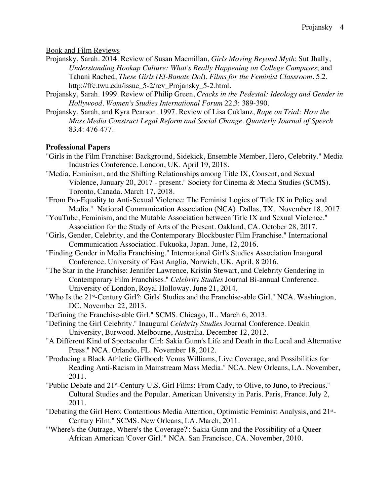Book and Film Reviews

- Projansky, Sarah. 2014. Review of Susan Macmillan, *Girls Moving Beyond Myth*; Sut Jhally, *Understanding Hookup Culture: What's Really Happening on College Campuses*; and Tahani Rached, *These Girls (El-Banate Dol*). *Films for the Feminist Classroom*. 5.2. http://ffc.twu.edu/issue\_5-2/rev\_Projansky\_5-2.html.
- Projansky, Sarah. 1999. Review of Philip Green, *Cracks in the Pedestal: Ideology and Gender in Hollywood*. *Women's Studies International Forum* 22.3: 389-390.
- Projansky, Sarah, and Kyra Pearson. 1997. Review of Lisa Cuklanz, *Rape on Trial: How the Mass Media Construct Legal Reform and Social Change*. *Quarterly Journal of Speech* 83.4: 476-477.

#### **Professional Papers**

- "Girls in the Film Franchise: Background, Sidekick, Ensemble Member, Hero, Celebrity." Media Industries Conference. London, UK. April 19, 2018.
- "Media, Feminism, and the Shifting Relationships among Title IX, Consent, and Sexual Violence, January 20, 2017 - present." Society for Cinema & Media Studies (SCMS). Toronto, Canada. March 17, 2018.
- "From Pro-Equality to Anti-Sexual Violence: The Feminist Logics of Title IX in Policy and Media." National Communication Association (NCA). Dallas, TX. November 18, 2017.
- "YouTube, Feminism, and the Mutable Association between Title IX and Sexual Violence." Association for the Study of Arts of the Present. Oakland, CA. October 28, 2017.
- "Girls, Gender, Celebrity, and the Contemporary Blockbuster Film Franchise." International Communication Association. Fukuoka, Japan. June, 12, 2016.
- "Finding Gender in Media Franchising." International Girl's Studies Association Inaugural Conference. University of East Anglia, Norwich, UK. April, 8 2016.
- "The Star in the Franchise: Jennifer Lawrence, Kristin Stewart, and Celebrity Gendering in Contemporary Film Franchises." *Celebrity Studies* Journal Bi-annual Conference. University of London, Royal Holloway. June 21, 2014.
- "Who Is the 21st-Century Girl?: Girls' Studies and the Franchise-able Girl." NCA. Washington, DC. November 22, 2013.
- "Defining the Franchise-able Girl." SCMS. Chicago, IL. March 6, 2013.
- "Defining the Girl Celebrity." Inaugural *Celebrity Studies* Journal Conference. Deakin University, Burwood. Melbourne, Australia. December 12, 2012.
- "A Different Kind of Spectacular Girl: Sakia Gunn's Life and Death in the Local and Alternative Press." NCA. Orlando, FL. November 18, 2012.
- "Producing a Black Athletic Girlhood: Venus Williams, Live Coverage, and Possibilities for Reading Anti-Racism in Mainstream Mass Media." NCA. New Orleans, LA. November, 2011.
- "Public Debate and 21<sup>st</sup>-Century U.S. Girl Films: From Cady, to Olive, to Juno, to Precious." Cultural Studies and the Popular. American University in Paris. Paris, France. July 2, 2011.
- "Debating the Girl Hero: Contentious Media Attention, Optimistic Feminist Analysis, and 21<sup>st</sup>-Century Film." SCMS. New Orleans, LA. March, 2011.
- "'Where's the Outrage, Where's the Coverage?': Sakia Gunn and the Possibility of a Queer African American 'Cover Girl.'" NCA. San Francisco, CA. November, 2010.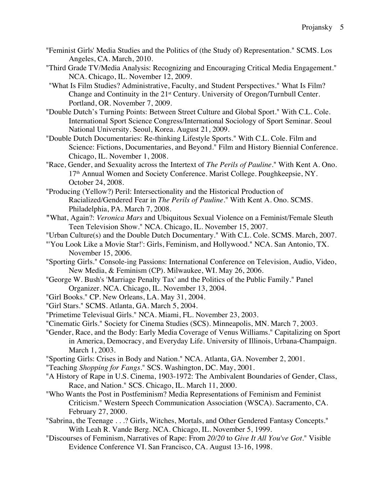- "Feminist Girls' Media Studies and the Politics of (the Study of) Representation." SCMS. Los Angeles, CA. March, 2010.
- "Third Grade TV/Media Analysis: Recognizing and Encouraging Critical Media Engagement." NCA. Chicago, IL. November 12, 2009.
- "What Is Film Studies? Administrative, Faculty, and Student Perspectives." What Is Film? Change and Continuity in the 21<sup>st</sup> Century. University of Oregon/Turnbull Center. Portland, OR. November 7, 2009.
- "Double Dutch's Turning Points: Between Street Culture and Global Sport." With C.L. Cole. International Sport Science Congress/International Sociology of Sport Seminar. Seoul National University. Seoul, Korea. August 21, 2009.
- "Double Dutch Documentaries: Re-thinking Lifestyle Sports." With C.L. Cole. Film and Science: Fictions, Documentaries, and Beyond." Film and History Biennial Conference. Chicago, IL. November 1, 2008.
- "Race, Gender, and Sexuality across the Intertext of *The Perils of Pauline*." With Kent A. Ono. 17<sup>th</sup> Annual Women and Society Conference. Marist College. Poughkeepsie, NY. October 24, 2008.
- "Producing (Yellow?) Peril: Intersectionality and the Historical Production of Racialized/Gendered Fear in *The Perils of Pauline*." With Kent A. Ono. SCMS. Philadelphia, PA. March 7, 2008.
- **"**What, Again?: *Veronica Mars* and Ubiquitous Sexual Violence on a Feminist/Female Sleuth Teen Television Show." NCA. Chicago, IL. November 15, 2007.
- "Urban Culture(s) and the Double Dutch Documentary." With C.L. Cole. SCMS. March, 2007.
- "'You Look Like a Movie Star!': Girls, Feminism, and Hollywood." NCA. San Antonio, TX. November 15, 2006.
- "Sporting Girls." Console-ing Passions: International Conference on Television, Audio, Video, New Media, & Feminism (CP). Milwaukee, WI. May 26, 2006.
- "George W. Bush's 'Marriage Penalty Tax' and the Politics of the Public Family." Panel Organizer. NCA. Chicago, IL. November 13, 2004.
- "Girl Books." CP. New Orleans, LA. May 31, 2004.
- "Girl Stars." SCMS. Atlanta, GA. March 5, 2004.
- "Primetime Televisual Girls." NCA. Miami, FL. November 23, 2003.
- "Cinematic Girls." Society for Cinema Studies (SCS). Minneapolis, MN. March 7, 2003.
- "Gender, Race, and the Body: Early Media Coverage of Venus Williams." Capitalizing on Sport in America, Democracy, and Everyday Life. University of Illinois, Urbana-Champaign. March 1, 2003.
- "Sporting Girls: Crises in Body and Nation." NCA. Atlanta, GA. November 2, 2001.
- "Teaching *Shopping for Fangs*." SCS. Washington, DC. May, 2001.
- "A History of Rape in U.S. Cinema, 1903-1972: The Ambivalent Boundaries of Gender, Class, Race, and Nation." SCS. Chicago, IL. March 11, 2000.
- "Who Wants the Post in Postfeminism? Media Representations of Feminism and Feminist Criticism." Western Speech Communication Association (WSCA). Sacramento, CA. February 27, 2000.
- "Sabrina, the Teenage . . .? Girls, Witches, Mortals, and Other Gendered Fantasy Concepts." With Leah R. Vande Berg. NCA. Chicago, IL. November 5, 1999.
- "Discourses of Feminism, Narratives of Rape: From *20/20* to *Give It All You've Got*." Visible Evidence Conference VI. San Francisco, CA. August 13-16, 1998.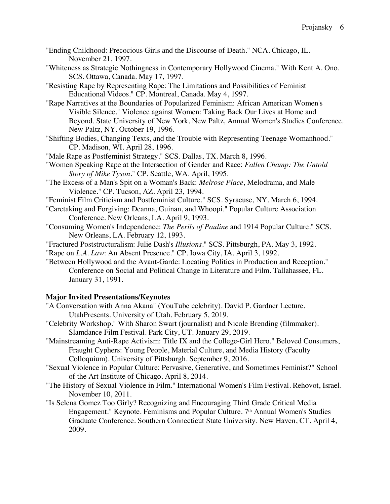- "Ending Childhood: Precocious Girls and the Discourse of Death." NCA. Chicago, IL. November 21, 1997.
- "Whiteness as Strategic Nothingness in Contemporary Hollywood Cinema." With Kent A. Ono. SCS. Ottawa, Canada. May 17, 1997.
- "Resisting Rape by Representing Rape: The Limitations and Possibilities of Feminist Educational Videos." CP. Montreal, Canada. May 4, 1997.
- "Rape Narratives at the Boundaries of Popularized Feminism: African American Women's Visible Silence." Violence against Women: Taking Back Our Lives at Home and Beyond. State University of New York, New Paltz, Annual Women's Studies Conference. New Paltz, NY. October 19, 1996.
- "Shifting Bodies, Changing Texts, and the Trouble with Representing Teenage Womanhood." CP. Madison, WI. April 28, 1996.
- "Male Rape as Postfeminist Strategy." SCS. Dallas, TX. March 8, 1996.
- "Women Speaking Rape at the Intersection of Gender and Race: *Fallen Champ: The Untold Story of Mike Tyson*." CP. Seattle, WA. April, 1995.
- "The Excess of a Man's Spit on a Woman's Back: *Melrose Place*, Melodrama, and Male Violence." CP. Tucson, AZ. April 23, 1994.
- "Feminist Film Criticism and Postfeminist Culture." SCS. Syracuse, NY. March 6, 1994.
- "Caretaking and Forgiving: Deanna, Guinan, and Whoopi." Popular Culture Association Conference. New Orleans, LA. April 9, 1993.
- "Consuming Women's Independence: *The Perils of Pauline* and 1914 Popular Culture." SCS. New Orleans, LA. February 12, 1993.
- "Fractured Poststructuralism: Julie Dash's *Illusions*." SCS. Pittsburgh, PA. May 3, 1992.
- "Rape on *L.A. Law*: An Absent Presence." CP. Iowa City, IA. April 3, 1992.
- "Between Hollywood and the Avant-Garde: Locating Politics in Production and Reception." Conference on Social and Political Change in Literature and Film. Tallahassee, FL. January 31, 1991.

## **Major Invited Presentations/Keynotes**

- "A Conversation with Anna Akana" (YouTube celebrity). David P. Gardner Lecture. UtahPresents. University of Utah. February 5, 2019.
- "Celebrity Workshop." With Sharon Swart (journalist) and Nicole Brending (filmmaker). Slamdance Film Festival. Park City, UT. January 29, 2019.
- "Mainstreaming Anti-Rape Activism: Title IX and the College-Girl Hero." Beloved Consumers, Fraught Cyphers: Young People, Material Culture, and Media History (Faculty Colloquium). University of Pittsburgh. September 9, 2016.
- "Sexual Violence in Popular Culture: Pervasive, Generative, and Sometimes Feminist?" School of the Art Institute of Chicago. April 8, 2014.
- "The History of Sexual Violence in Film." International Women's Film Festival. Rehovot, Israel. November 10, 2011.
- "Is Selena Gomez Too Girly? Recognizing and Encouraging Third Grade Critical Media Engagement." Keynote. Feminisms and Popular Culture.  $7<sup>th</sup>$  Annual Women's Studies Graduate Conference. Southern Connecticut State University. New Haven, CT. April 4, 2009.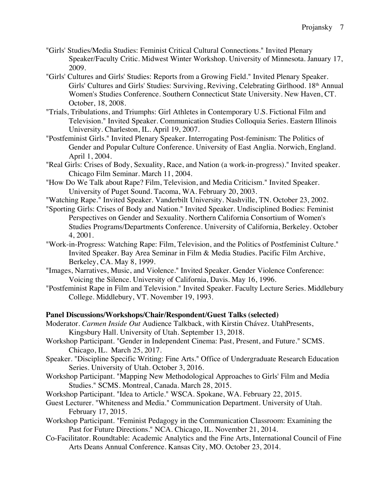- "Girls' Studies/Media Studies: Feminist Critical Cultural Connections." Invited Plenary Speaker/Faculty Critic. Midwest Winter Workshop. University of Minnesota. January 17, 2009.
- "Girls' Cultures and Girls' Studies: Reports from a Growing Field." Invited Plenary Speaker. Girls' Cultures and Girls' Studies: Surviving, Reviving, Celebrating Girlhood. 18th Annual Women's Studies Conference. Southern Connecticut State University. New Haven, CT. October, 18, 2008.
- "Trials, Tribulations, and Triumphs: Girl Athletes in Contemporary U.S. Fictional Film and Television." Invited Speaker. Communication Studies Colloquia Series. Eastern Illinois University. Charleston, IL. April 19, 2007.
- "Postfeminist Girls." Invited Plenary Speaker. Interrogating Post-feminism: The Politics of Gender and Popular Culture Conference. University of East Anglia. Norwich, England. April 1, 2004.
- "Real Girls: Crises of Body, Sexuality, Race, and Nation (a work-in-progress)." Invited speaker. Chicago Film Seminar. March 11, 2004.
- "How Do We Talk about Rape? Film, Television, and Media Criticism." Invited Speaker. University of Puget Sound. Tacoma, WA. February 20, 2003.
- "Watching Rape." Invited Speaker. Vanderbilt University. Nashville, TN. October 23, 2002.
- "Sporting Girls: Crises of Body and Nation." Invited Speaker. Undisciplined Bodies: Feminist Perspectives on Gender and Sexuality. Northern California Consortium of Women's Studies Programs/Departments Conference. University of California, Berkeley. October 4, 2001.
- "Work-in-Progress: Watching Rape: Film, Television, and the Politics of Postfeminist Culture." Invited Speaker. Bay Area Seminar in Film & Media Studies. Pacific Film Archive, Berkeley, CA. May 8, 1999.
- "Images, Narratives, Music, and Violence." Invited Speaker. Gender Violence Conference: Voicing the Silence. University of California, Davis. May 16, 1996.
- "Postfeminist Rape in Film and Television." Invited Speaker. Faculty Lecture Series. Middlebury College. Middlebury, VT. November 19, 1993.

#### **Panel Discussions/Workshops/Chair/Respondent/Guest Talks (selected)**

- Moderator. *Carmen Inside Out* Audience Talkback, with Kirstin Chávez. UtahPresents, Kingsbury Hall. University of Utah. September 13, 2018.
- Workshop Participant. "Gender in Independent Cinema: Past, Present, and Future." SCMS. Chicago, IL. March 25, 2017.
- Speaker. "Discipline Specific Writing: Fine Arts." Office of Undergraduate Research Education Series. University of Utah. October 3, 2016.
- Workshop Participant. "Mapping New Methodological Approaches to Girls' Film and Media Studies." SCMS. Montreal, Canada. March 28, 2015.
- Workshop Participant. "Idea to Article." WSCA. Spokane, WA. February 22, 2015.
- Guest Lecturer. "Whiteness and Media." Communication Department. University of Utah. February 17, 2015.
- Workshop Participant. "Feminist Pedagogy in the Communication Classroom: Examining the Past for Future Directions." NCA. Chicago, IL. November 21, 2014.
- Co-Facilitator. Roundtable: Academic Analytics and the Fine Arts, International Council of Fine Arts Deans Annual Conference. Kansas City, MO. October 23, 2014.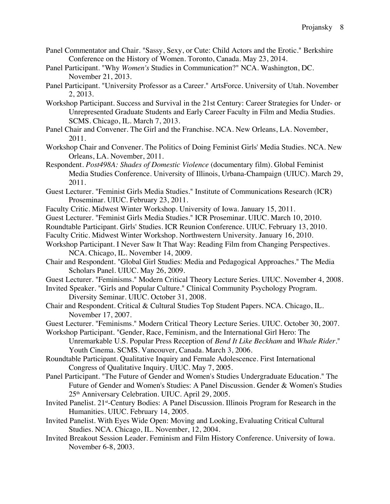- Panel Commentator and Chair. "Sassy, Sexy, or Cute: Child Actors and the Erotic." Berkshire Conference on the History of Women. Toronto, Canada. May 23, 2014.
- Panel Participant. "Why *Women's* Studies in Communication?" NCA. Washington, DC. November 21, 2013.
- Panel Participant. "University Professor as a Career." ArtsForce. University of Utah. November 2, 2013.
- Workshop Participant. Success and Survival in the 21st Century: Career Strategies for Under- or Unrepresented Graduate Students and Early Career Faculty in Film and Media Studies. SCMS. Chicago, IL. March 7, 2013.
- Panel Chair and Convener. The Girl and the Franchise. NCA. New Orleans, LA. November, 2011.
- Workshop Chair and Convener. The Politics of Doing Feminist Girls' Media Studies. NCA. New Orleans, LA. November, 2011.
- Respondent. *Post498A: Shades of Domestic Violence* (documentary film). Global Feminist Media Studies Conference. University of Illinois, Urbana-Champaign (UIUC). March 29, 2011.
- Guest Lecturer. "Feminist Girls Media Studies." Institute of Communications Research (ICR) Proseminar. UIUC. February 23, 2011.
- Faculty Critic. Midwest Winter Workshop. University of Iowa. January 15, 2011.
- Guest Lecturer. "Feminist Girls Media Studies." ICR Proseminar. UIUC. March 10, 2010.
- Roundtable Participant. Girls' Studies. ICR Reunion Conference. UIUC. February 13, 2010.
- Faculty Critic. Midwest Winter Workshop. Northwestern University. January 16, 2010.
- Workshop Participant. I Never Saw It That Way: Reading Film from Changing Perspectives. NCA. Chicago, IL. November 14, 2009.
- Chair and Respondent. "Global Girl Studies: Media and Pedagogical Approaches." The Media Scholars Panel. UIUC. May 26, 2009.
- Guest Lecturer. "Feminisms." Modern Critical Theory Lecture Series. UIUC. November 4, 2008.
- Invited Speaker. "Girls and Popular Culture." Clinical Community Psychology Program. Diversity Seminar. UIUC. October 31, 2008.
- Chair and Respondent. Critical & Cultural Studies Top Student Papers. NCA. Chicago, IL. November 17, 2007.
- Guest Lecturer. "Feminisms." Modern Critical Theory Lecture Series. UIUC. October 30, 2007.
- Workshop Participant. "Gender, Race, Feminism, and the International Girl Hero: The Unremarkable U.S. Popular Press Reception of *Bend It Like Beckham* and *Whale Rider*." Youth Cinema. SCMS. Vancouver, Canada. March 3, 2006.
- Roundtable Participant. Qualitative Inquiry and Female Adolescence. First International Congress of Qualitative Inquiry. UIUC. May 7, 2005.
- Panel Participant. "The Future of Gender and Women's Studies Undergraduate Education." The Future of Gender and Women's Studies: A Panel Discussion. Gender & Women's Studies 25th Anniversary Celebration. UIUC. April 29, 2005.
- Invited Panelist. 21st-Century Bodies: A Panel Discussion. Illinois Program for Research in the Humanities. UIUC. February 14, 2005.
- Invited Panelist. With Eyes Wide Open: Moving and Looking, Evaluating Critical Cultural Studies. NCA. Chicago, IL. November, 12, 2004.
- Invited Breakout Session Leader. Feminism and Film History Conference. University of Iowa. November 6-8, 2003.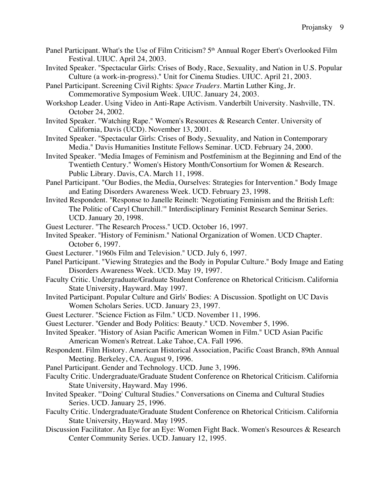- Panel Participant. What's the Use of Film Criticism? 5<sup>th</sup> Annual Roger Ebert's Overlooked Film Festival. UIUC. April 24, 2003.
- Invited Speaker. "Spectacular Girls: Crises of Body, Race, Sexuality, and Nation in U.S. Popular Culture (a work-in-progress)." Unit for Cinema Studies. UIUC. April 21, 2003.
- Panel Participant. Screening Civil Rights: *Space Traders*. Martin Luther King, Jr. Commemorative Symposium Week. UIUC. January 24, 2003.
- Workshop Leader. Using Video in Anti-Rape Activism. Vanderbilt University. Nashville, TN. October 24, 2002.
- Invited Speaker. "Watching Rape." Women's Resources & Research Center. University of California, Davis (UCD). November 13, 2001.
- Invited Speaker. "Spectacular Girls: Crises of Body, Sexuality, and Nation in Contemporary Media." Davis Humanities Institute Fellows Seminar. UCD. February 24, 2000.
- Invited Speaker. "Media Images of Feminism and Postfeminism at the Beginning and End of the Twentieth Century." Women's History Month/Consortium for Women & Research. Public Library. Davis, CA. March 11, 1998.
- Panel Participant. "Our Bodies, the Media, Ourselves: Strategies for Intervention." Body Image and Eating Disorders Awareness Week. UCD. February 23, 1998.
- Invited Respondent. "Response to Janelle Reinelt: 'Negotiating Feminism and the British Left: The Politic of Caryl Churchill.'" Interdisciplinary Feminist Research Seminar Series. UCD. January 20, 1998.
- Guest Lecturer. "The Research Process." UCD. October 16, 1997.
- Invited Speaker. "History of Feminism." National Organization of Women. UCD Chapter. October 6, 1997.
- Guest Lecturer. "1960s Film and Television." UCD. July 6, 1997.
- Panel Participant. "Viewing Strategies and the Body in Popular Culture." Body Image and Eating Disorders Awareness Week. UCD. May 19, 1997.
- Faculty Critic. Undergraduate/Graduate Student Conference on Rhetorical Criticism. California State University, Hayward. May 1997.
- Invited Participant. Popular Culture and Girls' Bodies: A Discussion. Spotlight on UC Davis Women Scholars Series. UCD. January 23, 1997.
- Guest Lecturer. "Science Fiction as Film." UCD. November 11, 1996.
- Guest Lecturer. "Gender and Body Politics: Beauty." UCD. November 5, 1996.
- Invited Speaker. "History of Asian Pacific American Women in Film." UCD Asian Pacific American Women's Retreat. Lake Tahoe, CA. Fall 1996.
- Respondent. Film History. American Historical Association, Pacific Coast Branch, 89th Annual Meeting. Berkeley, CA. August 9, 1996.
- Panel Participant. Gender and Technology. UCD. June 3, 1996.
- Faculty Critic. Undergraduate/Graduate Student Conference on Rhetorical Criticism. California State University, Hayward. May 1996.
- Invited Speaker. "'Doing' Cultural Studies." Conversations on Cinema and Cultural Studies Series. UCD. January 25, 1996.
- Faculty Critic. Undergraduate/Graduate Student Conference on Rhetorical Criticism. California State University, Hayward. May 1995.
- Discussion Facilitator. An Eye for an Eye: Women Fight Back. Women's Resources & Research Center Community Series. UCD. January 12, 1995.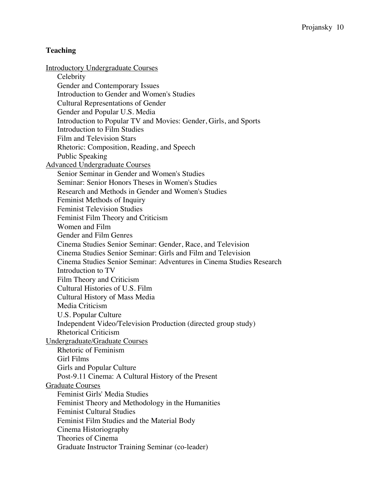#### **Teaching**

Introductory Undergraduate Courses **Celebrity** Gender and Contemporary Issues Introduction to Gender and Women's Studies Cultural Representations of Gender Gender and Popular U.S. Media Introduction to Popular TV and Movies: Gender, Girls, and Sports Introduction to Film Studies Film and Television Stars Rhetoric: Composition, Reading, and Speech Public Speaking Advanced Undergraduate Courses Senior Seminar in Gender and Women's Studies Seminar: Senior Honors Theses in Women's Studies Research and Methods in Gender and Women's Studies Feminist Methods of Inquiry Feminist Television Studies Feminist Film Theory and Criticism Women and Film Gender and Film Genres Cinema Studies Senior Seminar: Gender, Race, and Television Cinema Studies Senior Seminar: Girls and Film and Television Cinema Studies Senior Seminar: Adventures in Cinema Studies Research Introduction to TV Film Theory and Criticism Cultural Histories of U.S. Film Cultural History of Mass Media Media Criticism U.S. Popular Culture Independent Video/Television Production (directed group study) Rhetorical Criticism Undergraduate/Graduate Courses Rhetoric of Feminism Girl Films Girls and Popular Culture Post-9.11 Cinema: A Cultural History of the Present Graduate Courses Feminist Girls' Media Studies Feminist Theory and Methodology in the Humanities Feminist Cultural Studies Feminist Film Studies and the Material Body Cinema Historiography Theories of Cinema Graduate Instructor Training Seminar (co-leader)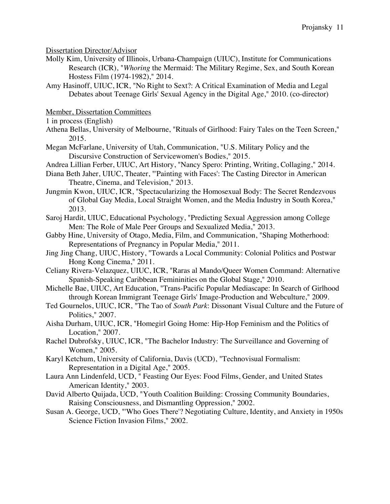Dissertation Director/Advisor

- Molly Kim, University of Illinois, Urbana-Champaign (UIUC), Institute for Communications Research (ICR), "*Whoring* the Mermaid: The Military Regime, Sex, and South Korean Hostess Film (1974-1982)," 2014.
- Amy Hasinoff, UIUC, ICR, "No Right to Sext?: A Critical Examination of Media and Legal Debates about Teenage Girls' Sexual Agency in the Digital Age," 2010. (co-director)

Member, Dissertation Committees

1 in process (English)

- Athena Bellas, University of Melbourne, "Rituals of Girlhood: Fairy Tales on the Teen Screen," 2015.
- Megan McFarlane, University of Utah, Communication, "U.S. Military Policy and the Discursive Construction of Servicewomen's Bodies," 2015.
- Andrea Lillian Ferber, UIUC, Art History, "Nancy Spero: Printing, Writing, Collaging," 2014.
- Diana Beth Jaher, UIUC, Theater, "'Painting with Faces': The Casting Director in American Theatre, Cinema, and Television," 2013.
- Jungmin Kwon, UIUC, ICR, "Spectacularizing the Homosexual Body: The Secret Rendezvous of Global Gay Media, Local Straight Women, and the Media Industry in South Korea," 2013.
- Saroj Hardit, UIUC, Educational Psychology, "Predicting Sexual Aggression among College Men: The Role of Male Peer Groups and Sexualized Media," 2013.
- Gabby Hine, University of Otago, Media, Film, and Communication, "Shaping Motherhood: Representations of Pregnancy in Popular Media," 2011.
- Jing Jing Chang, UIUC, History, "Towards a Local Community: Colonial Politics and Postwar Hong Kong Cinema," 2011.
- Celiany Rivera-Velazquez, UIUC, ICR, "Raras al Mando/Queer Women Command: Alternative Spanish-Speaking Caribbean Femininities on the Global Stage," 2010.
- Michelle Bae, UIUC, Art Education, "Trans-Pacific Popular Mediascape: In Search of Girlhood through Korean Immigrant Teenage Girls' Image-Production and Webculture," 2009.
- Ted Gournelos, UIUC, ICR, "The Tao of *South Park*: Dissonant Visual Culture and the Future of Politics," 2007.
- Aisha Durham, UIUC, ICR, "Homegirl Going Home: Hip-Hop Feminism and the Politics of Location," 2007.
- Rachel Dubrofsky, UIUC, ICR, "The Bachelor Industry: The Surveillance and Governing of Women," 2005.
- Karyl Ketchum, University of California, Davis (UCD), "Technovisual Formalism: Representation in a Digital Age," 2005.
- Laura Ann Lindenfeld, UCD, " Feasting Our Eyes: Food Films, Gender, and United States American Identity," 2003.
- David Alberto Quijada, UCD, "Youth Coalition Building: Crossing Community Boundaries, Raising Consciousness, and Dismantling Oppression," 2002.
- Susan A. George, UCD, "'Who Goes There'? Negotiating Culture, Identity, and Anxiety in 1950s Science Fiction Invasion Films," 2002.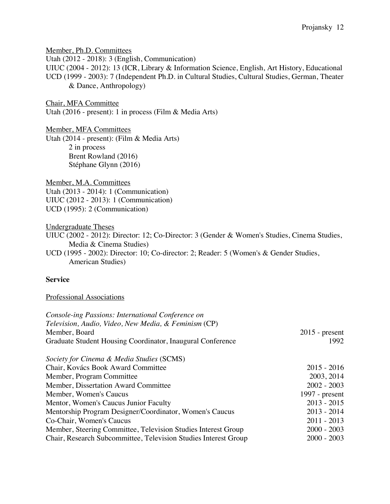Member, Ph.D. Committees Utah (2012 - 2018): 3 (English, Communication) UIUC (2004 - 2012): 13 (ICR, Library & Information Science, English, Art History, Educational UCD (1999 - 2003): 7 (Independent Ph.D. in Cultural Studies, Cultural Studies, German, Theater & Dance, Anthropology) Chair, MFA Committee Utah (2016 - present): 1 in process (Film & Media Arts) Member, MFA Committees Utah (2014 - present): (Film & Media Arts) 2 in process Brent Rowland (2016) Stéphane Glynn (2016) Member, M.A. Committees Utah (2013 - 2014): 1 (Communication) UIUC (2012 - 2013): 1 (Communication) UCD (1995): 2 (Communication) Undergraduate Theses UIUC (2002 - 2012): Director: 12; Co-Director: 3 (Gender & Women's Studies, Cinema Studies, Media & Cinema Studies) UCD (1995 - 2002): Director: 10; Co-director: 2; Reader: 5 (Women's & Gender Studies, American Studies)

# **Service**

#### Professional Associations

| Console-ing Passions: International Conference on               |                  |
|-----------------------------------------------------------------|------------------|
| Television, Audio, Video, New Media, & Feminism (CP)            |                  |
| Member, Board                                                   | $2015$ - present |
| Graduate Student Housing Coordinator, Inaugural Conference      | 1992             |
| Society for Cinema & Media Studies (SCMS)                       |                  |
| Chair, Kovács Book Award Committee                              | $2015 - 2016$    |
| Member, Program Committee                                       | 2003, 2014       |
| Member, Dissertation Award Committee                            | $2002 - 2003$    |
| Member, Women's Caucus                                          | 1997 - $present$ |
| Mentor, Women's Caucus Junior Faculty                           | $2013 - 2015$    |
| Mentorship Program Designer/Coordinator, Women's Caucus         | $2013 - 2014$    |
| Co-Chair, Women's Caucus                                        | $2011 - 2013$    |
| Member, Steering Committee, Television Studies Interest Group   | $2000 - 2003$    |
| Chair, Research Subcommittee, Television Studies Interest Group | $2000 - 2003$    |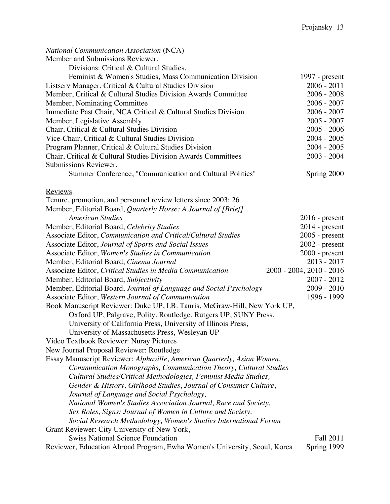| <b>National Communication Association (NCA)</b>                           |                          |
|---------------------------------------------------------------------------|--------------------------|
| Member and Submissions Reviewer,                                          |                          |
| Divisions: Critical & Cultural Studies,                                   |                          |
| Feminist & Women's Studies, Mass Communication Division                   | 1997 - $present$         |
| Listserv Manager, Critical & Cultural Studies Division                    | $2006 - 2011$            |
| Member, Critical & Cultural Studies Division Awards Committee             | $2006 - 2008$            |
| Member, Nominating Committee                                              | $2006 - 2007$            |
| Immediate Past Chair, NCA Critical & Cultural Studies Division            | $2006 - 2007$            |
| Member, Legislative Assembly                                              | $2005 - 2007$            |
| Chair, Critical & Cultural Studies Division                               | $2005 - 2006$            |
| Vice-Chair, Critical & Cultural Studies Division                          | $2004 - 2005$            |
| Program Planner, Critical & Cultural Studies Division                     | $2004 - 2005$            |
| Chair, Critical & Cultural Studies Division Awards Committees             | $2003 - 2004$            |
| Submissions Reviewer,                                                     |                          |
| Summer Conference, "Communication and Cultural Politics"                  | Spring 2000              |
| <b>Reviews</b>                                                            |                          |
| Tenure, promotion, and personnel review letters since 2003: 26            |                          |
| Member, Editorial Board, Quarterly Horse: A Journal of [Brief]            |                          |
| <b>American Studies</b>                                                   | $2016$ - present         |
| Member, Editorial Board, Celebrity Studies                                | $2014$ - present         |
| Associate Editor, Communication and Critical/Cultural Studies             | $2005$ - present         |
| Associate Editor, Journal of Sports and Social Issues                     | $2002$ - present         |
| Associate Editor, Women's Studies in Communication                        | $2000$ - present         |
| Member, Editorial Board, Cinema Journal                                   | $2013 - 2017$            |
| Associate Editor, Critical Studies in Media Communication                 | 2000 - 2004, 2010 - 2016 |
| Member, Editorial Board, Subjectivity                                     | 2007 - 2012              |
| Member, Editorial Board, Journal of Language and Social Psychology        | $2009 - 2010$            |
| Associate Editor, Western Journal of Communication                        | 1996 - 1999              |
| Book Manuscript Reviewer: Duke UP, I.B. Tauris, McGraw-Hill, New York UP, |                          |
| Oxford UP, Palgrave, Polity, Routledge, Rutgers UP, SUNY Press,           |                          |
| University of California Press, University of Illinois Press,             |                          |
| University of Massachusetts Press, Wesleyan UP                            |                          |
| Video Textbook Reviewer: Nuray Pictures                                   |                          |
| New Journal Proposal Reviewer: Routledge                                  |                          |
| Essay Manuscript Reviewer: Alphaville, American Quarterly, Asian Women,   |                          |
| Communication Monographs, Communication Theory, Cultural Studies          |                          |
| Cultural Studies/Critical Methodologies, Feminist Media Studies,          |                          |
| Gender & History, Girlhood Studies, Journal of Consumer Culture,          |                          |
| Journal of Language and Social Psychology,                                |                          |
| National Women's Studies Association Journal, Race and Society,           |                          |
| Sex Roles, Signs: Journal of Women in Culture and Society,                |                          |
| Social Research Methodology, Women's Studies International Forum          |                          |
| Grant Reviewer: City University of New York,                              |                          |
| <b>Swiss National Science Foundation</b>                                  | Fall 2011                |
| Reviewer, Education Abroad Program, Ewha Women's University, Seoul, Korea | Spring 1999              |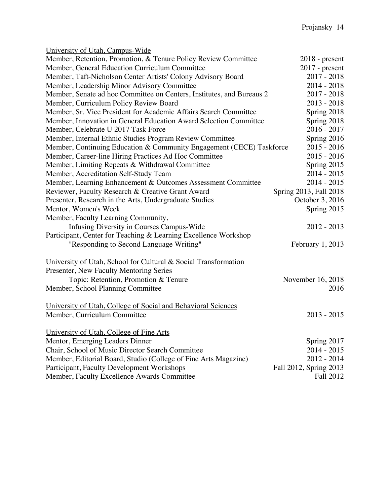| $2018$ - present                                                                      |
|---------------------------------------------------------------------------------------|
| $2017$ - present                                                                      |
| $2017 - 2018$                                                                         |
| $2014 - 2018$                                                                         |
| $2017 - 2018$                                                                         |
| $2013 - 2018$                                                                         |
| Spring 2018                                                                           |
| Spring 2018                                                                           |
| $2016 - 2017$                                                                         |
| Spring 2016                                                                           |
| Member, Continuing Education & Community Engagement (CECE) Taskforce<br>$2015 - 2016$ |
| $2015 - 2016$                                                                         |
| Spring 2015                                                                           |
| $2014 - 2015$                                                                         |
| $2014 - 2015$                                                                         |
| Spring 2013, Fall 2018                                                                |
| October 3, 2016                                                                       |
| Spring 2015                                                                           |
|                                                                                       |
| $2012 - 2013$                                                                         |
|                                                                                       |
| February $1, 2013$                                                                    |
|                                                                                       |
|                                                                                       |
|                                                                                       |
| November 16, 2018                                                                     |
| 2016                                                                                  |
|                                                                                       |
|                                                                                       |
| $2013 - 2015$                                                                         |
|                                                                                       |
|                                                                                       |
| Spring 2017                                                                           |
| $2014 - 2015$                                                                         |
| $2012 - 2014$                                                                         |
| Fall 2012, Spring 2013                                                                |
| Fall 2012                                                                             |
| Member, Senate ad hoc Committee on Centers, Institutes, and Bureaus 2                 |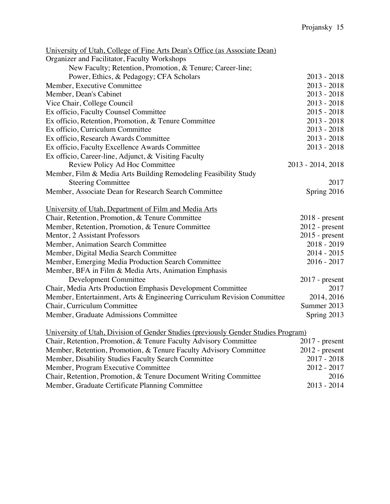| University of Utah, College of Fine Arts Dean's Office (as Associate Dean)         |                   |
|------------------------------------------------------------------------------------|-------------------|
| Organizer and Facilitator, Faculty Workshops                                       |                   |
| New Faculty; Retention, Promotion, & Tenure; Career-line;                          |                   |
| Power, Ethics, & Pedagogy; CFA Scholars                                            | $2013 - 2018$     |
| Member, Executive Committee                                                        | $2013 - 2018$     |
| Member, Dean's Cabinet                                                             | $2013 - 2018$     |
| Vice Chair, College Council                                                        | $2013 - 2018$     |
| Ex officio, Faculty Counsel Committee                                              | $2015 - 2018$     |
| Ex officio, Retention, Promotion, & Tenure Committee                               | $2013 - 2018$     |
| Ex officio, Curriculum Committee                                                   | $2013 - 2018$     |
| Ex officio, Research Awards Committee                                              | $2013 - 2018$     |
| Ex officio, Faculty Excellence Awards Committee                                    | $2013 - 2018$     |
| Ex officio, Career-line, Adjunct, & Visiting Faculty                               |                   |
| Review Policy Ad Hoc Committee                                                     | 2013 - 2014, 2018 |
| Member, Film & Media Arts Building Remodeling Feasibility Study                    |                   |
| <b>Steering Committee</b>                                                          | 2017              |
| Member, Associate Dean for Research Search Committee                               | Spring 2016       |
| University of Utah, Department of Film and Media Arts                              |                   |
| Chair, Retention, Promotion, & Tenure Committee                                    | $2018$ - present  |
| Member, Retention, Promotion, & Tenure Committee                                   | $2012$ - present  |
| Mentor, 2 Assistant Professors                                                     | $2015$ - present  |
| Member, Animation Search Committee                                                 | $2018 - 2019$     |
| Member, Digital Media Search Committee                                             | $2014 - 2015$     |
| Member, Emerging Media Production Search Committee                                 | $2016 - 2017$     |
| Member, BFA in Film & Media Arts, Animation Emphasis                               |                   |
| Development Committee                                                              | $2017$ - present  |
| Chair, Media Arts Production Emphasis Development Committee                        | 2017              |
| Member, Entertainment, Arts & Engineering Curriculum Revision Committee            | 2014, 2016        |
| Chair, Curriculum Committee                                                        | Summer 2013       |
| Member, Graduate Admissions Committee                                              | Spring 2013       |
| University of Utah, Division of Gender Studies (previously Gender Studies Program) |                   |
| Chair, Retention, Promotion, & Tenure Faculty Advisory Committee                   | $2017$ - present  |
| Member, Retention, Promotion, & Tenure Faculty Advisory Committee                  | $2012$ - present  |
| Member, Disability Studies Faculty Search Committee                                | $2017 - 2018$     |
| Member, Program Executive Committee                                                | 2012 - 2017       |
| Chair, Retention, Promotion, & Tenure Document Writing Committee                   | 2016              |
| Member, Graduate Certificate Planning Committee                                    | 2013 - 2014       |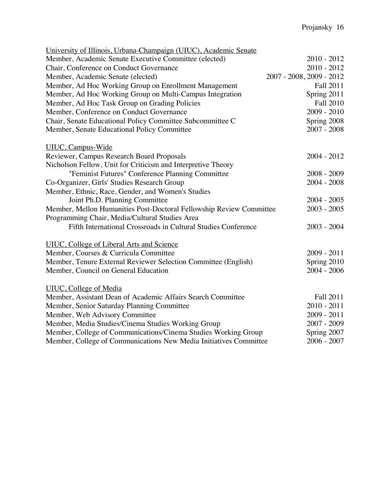| University of Illinois, Urbana-Champaign (UIUC), Academic Senate    |                          |
|---------------------------------------------------------------------|--------------------------|
| Member, Academic Senate Executive Committee (elected)               | $2010 - 2012$            |
| Chair, Conference on Conduct Governance                             | $2010 - 2012$            |
| Member, Academic Senate (elected)                                   | 2007 - 2008, 2009 - 2012 |
| Member, Ad Hoc Working Group on Enrollment Management               | Fall 2011                |
| Member, Ad Hoc Working Group on Multi-Campus Integration            | Spring 2011              |
| Member, Ad Hoc Task Group on Grading Policies                       | <b>Fall 2010</b>         |
| Member, Conference on Conduct Governance                            | $2009 - 2010$            |
| Chair, Senate Educational Policy Committee Subcommittee C           | Spring 2008              |
| Member, Senate Educational Policy Committee                         | $2007 - 2008$            |
| <b>UIUC</b> , Campus-Wide                                           |                          |
| Reviewer, Campus Research Board Proposals                           | $2004 - 2012$            |
| Nicholson Fellow, Unit for Criticism and Interpretive Theory        |                          |
| "Feminist Futures" Conference Planning Committee                    | $2008 - 2009$            |
| Co-Organizer, Girls' Studies Research Group                         | $2004 - 2008$            |
| Member, Ethnic, Race, Gender, and Women's Studies                   |                          |
| Joint Ph.D. Planning Committee                                      | $2004 - 2005$            |
| Member, Mellon Humanities Post-Doctoral Fellowship Review Committee | $2003 - 2005$            |
| Programming Chair, Media/Cultural Studies Area                      |                          |
| Fifth International Crossroads in Cultural Studies Conference       | $2003 - 2004$            |
| <b>UIUC, College of Liberal Arts and Science</b>                    |                          |
| Member, Courses & Curricula Committee                               | $2009 - 2011$            |
| Member, Tenure External Reviewer Selection Committee (English)      | Spring 2010              |
| Member, Council on General Education                                | $2004 - 2006$            |
| <b>UIUC</b> , College of Media                                      |                          |
| Member, Assistant Dean of Academic Affairs Search Committee         | Fall 2011                |
| Member, Senior Saturday Planning Committee                          | $2010 - 2011$            |
| Member, Web Advisory Committee                                      | $2009 - 2011$            |
| Member, Media Studies/Cinema Studies Working Group                  | 2007 - 2009              |
| Member, College of Communications/Cinema Studies Working Group      | Spring 2007              |
| Member, College of Communications New Media Initiatives Committee   | $2006 - 2007$            |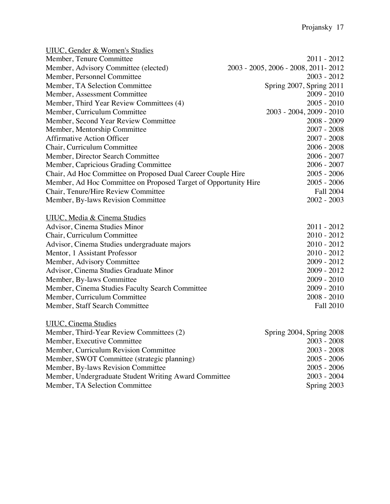| <b>UIUC, Gender &amp; Women's Studies</b>                       |                                       |
|-----------------------------------------------------------------|---------------------------------------|
| Member, Tenure Committee                                        | $2011 - 2012$                         |
| Member, Advisory Committee (elected)                            | 2003 - 2005, 2006 - 2008, 2011 - 2012 |
| Member, Personnel Committee                                     | $2003 - 2012$                         |
| Member, TA Selection Committee                                  | Spring 2007, Spring 2011              |
| Member, Assessment Committee                                    | $2009 - 2010$                         |
| Member, Third Year Review Committees (4)                        | $2005 - 2010$                         |
| Member, Curriculum Committee                                    | 2003 - 2004, 2009 - 2010              |
| Member, Second Year Review Committee                            | $2008 - 2009$                         |
| Member, Mentorship Committee                                    | $2007 - 2008$                         |
| <b>Affirmative Action Officer</b>                               | $2007 - 2008$                         |
| Chair, Curriculum Committee                                     | $2006 - 2008$                         |
| Member, Director Search Committee                               | $2006 - 2007$                         |
| Member, Capricious Grading Committee                            | $2006 - 2007$                         |
| Chair, Ad Hoc Committee on Proposed Dual Career Couple Hire     | $2005 - 2006$                         |
| Member, Ad Hoc Committee on Proposed Target of Opportunity Hire | $2005 - 2006$                         |
| Chair, Tenure/Hire Review Committee                             | <b>Fall 2004</b>                      |
| Member, By-laws Revision Committee                              | $2002 - 2003$                         |
| <b>UIUC</b> , Media & Cinema Studies                            |                                       |
| Advisor, Cinema Studies Minor                                   | $2011 - 2012$                         |
| Chair, Curriculum Committee                                     | $2010 - 2012$                         |
| Advisor, Cinema Studies undergraduate majors                    | $2010 - 2012$                         |
| Mentor, 1 Assistant Professor                                   | $2010 - 2012$                         |
| Member, Advisory Committee                                      | $2009 - 2012$                         |
| Advisor, Cinema Studies Graduate Minor                          | $2009 - 2012$                         |
| Member, By-laws Committee                                       | $2009 - 2010$                         |
| Member, Cinema Studies Faculty Search Committee                 | $2009 - 2010$                         |
| Member, Curriculum Committee                                    | $2008 - 2010$                         |
| Member, Staff Search Committee                                  | <b>Fall 2010</b>                      |
| <b>UIUC</b> , Cinema Studies                                    |                                       |
| Member, Third-Year Review Committees (2)                        | Spring 2004, Spring 2008              |
| Member, Executive Committee                                     | $2003 - 2008$                         |
| Member, Curriculum Revision Committee                           | $2003 - 2008$                         |
| Member, SWOT Committee (strategic planning)                     | $2005 - 2006$                         |
| Member, By-laws Revision Committee                              | $2005 - 2006$                         |
| Member, Undergraduate Student Writing Award Committee           | $2003 - 2004$                         |
| Member, TA Selection Committee                                  |                                       |
|                                                                 | Spring 2003                           |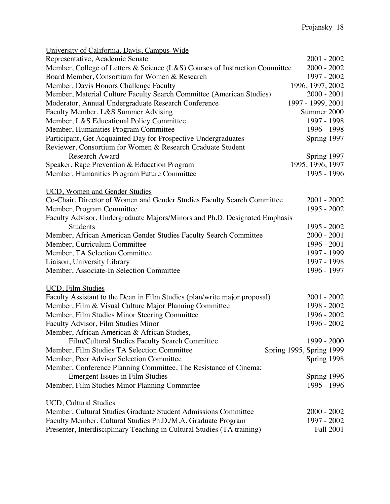| Representative, Academic Senate<br>$2001 - 2002$<br>Member, College of Letters & Science (L&S) Courses of Instruction Committee<br>$2000 - 2002$<br>Board Member, Consortium for Women & Research<br>1997 - 2002<br>Member, Davis Honors Challenge Faculty<br>1996, 1997, 2002 |
|--------------------------------------------------------------------------------------------------------------------------------------------------------------------------------------------------------------------------------------------------------------------------------|
|                                                                                                                                                                                                                                                                                |
|                                                                                                                                                                                                                                                                                |
|                                                                                                                                                                                                                                                                                |
|                                                                                                                                                                                                                                                                                |
| Member, Material Culture Faculty Search Committee (American Studies)<br>$2000 - 2001$                                                                                                                                                                                          |
| 1997 - 1999, 2001<br>Moderator, Annual Undergraduate Research Conference                                                                                                                                                                                                       |
| Faculty Member, L&S Summer Advising<br>Summer 2000                                                                                                                                                                                                                             |
| Member, L&S Educational Policy Committee<br>1997 - 1998                                                                                                                                                                                                                        |
| Member, Humanities Program Committee<br>1996 - 1998                                                                                                                                                                                                                            |
| Participant, Get Acquainted Day for Prospective Undergraduates<br>Spring 1997                                                                                                                                                                                                  |
| Reviewer, Consortium for Women & Research Graduate Student                                                                                                                                                                                                                     |
| <b>Research Award</b><br>Spring 1997                                                                                                                                                                                                                                           |
| 1995, 1996, 1997<br>Speaker, Rape Prevention & Education Program                                                                                                                                                                                                               |
| 1995 - 1996<br>Member, Humanities Program Future Committee                                                                                                                                                                                                                     |
| <b>UCD</b> , Women and Gender Studies                                                                                                                                                                                                                                          |
| Co-Chair, Director of Women and Gender Studies Faculty Search Committee<br>$2001 - 2002$                                                                                                                                                                                       |
| 1995 - 2002<br>Member, Program Committee                                                                                                                                                                                                                                       |
| Faculty Advisor, Undergraduate Majors/Minors and Ph.D. Designated Emphasis                                                                                                                                                                                                     |
| <b>Students</b><br>1995 - 2002                                                                                                                                                                                                                                                 |
| Member, African American Gender Studies Faculty Search Committee<br>$2000 - 2001$                                                                                                                                                                                              |
| Member, Curriculum Committee<br>1996 - 2001                                                                                                                                                                                                                                    |
| 1997 - 1999<br>Member, TA Selection Committee                                                                                                                                                                                                                                  |
| 1997 - 1998<br>Liaison, University Library                                                                                                                                                                                                                                     |
| Member, Associate-In Selection Committee<br>1996 - 1997                                                                                                                                                                                                                        |
|                                                                                                                                                                                                                                                                                |
| <b>UCD, Film Studies</b>                                                                                                                                                                                                                                                       |
| Faculty Assistant to the Dean in Film Studies (plan/write major proposal)<br>$2001 - 2002$                                                                                                                                                                                     |
| Member, Film & Visual Culture Major Planning Committee<br>1998 - 2002                                                                                                                                                                                                          |
| 1996 - 2002<br>Member, Film Studies Minor Steering Committee                                                                                                                                                                                                                   |
| Faculty Advisor, Film Studies Minor<br>1996 - 2002                                                                                                                                                                                                                             |
| Member, African American & African Studies,                                                                                                                                                                                                                                    |
| Film/Cultural Studies Faculty Search Committee<br>1999 - 2000                                                                                                                                                                                                                  |
| Member, Film Studies TA Selection Committee<br>Spring 1995, Spring 1999                                                                                                                                                                                                        |
| Member, Peer Advisor Selection Committee<br>Spring 1998                                                                                                                                                                                                                        |
| Member, Conference Planning Committee, The Resistance of Cinema:                                                                                                                                                                                                               |
| <b>Emergent Issues in Film Studies</b><br>Spring 1996                                                                                                                                                                                                                          |
| 1995 - 1996<br>Member, Film Studies Minor Planning Committee                                                                                                                                                                                                                   |
| <b>UCD, Cultural Studies</b>                                                                                                                                                                                                                                                   |
| Member, Cultural Studies Graduate Student Admissions Committee<br>$2000 - 2002$                                                                                                                                                                                                |
| Faculty Member, Cultural Studies Ph.D./M.A. Graduate Program<br>1997 - 2002                                                                                                                                                                                                    |
| Presenter, Interdisciplinary Teaching in Cultural Studies (TA training)<br><b>Fall 2001</b>                                                                                                                                                                                    |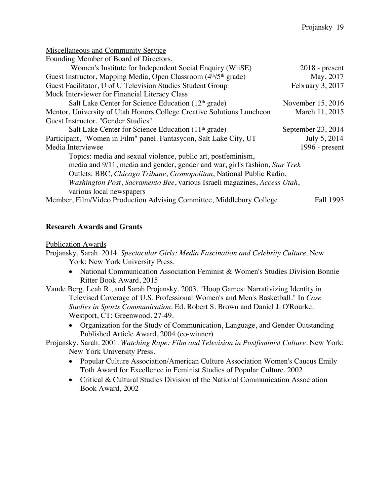| <b>Miscellaneous and Community Service</b>                                               |                    |  |
|------------------------------------------------------------------------------------------|--------------------|--|
| Founding Member of Board of Directors,                                                   |                    |  |
| Women's Institute for Independent Social Enquiry (WiiSE)                                 | $2018$ - present   |  |
| Guest Instructor, Mapping Media, Open Classroom (4 <sup>th</sup> /5 <sup>th</sup> grade) | May, 2017          |  |
| Guest Facilitator, U of U Television Studies Student Group                               | February 3, 2017   |  |
| Mock Interviewer for Financial Literacy Class                                            |                    |  |
| Salt Lake Center for Science Education $(12th \text{ grade})$                            | November 15, 2016  |  |
| Mentor, University of Utah Honors College Creative Solutions Luncheon                    | March 11, 2015     |  |
| Guest Instructor, "Gender Studies"                                                       |                    |  |
| Salt Lake Center for Science Education $(11th \text{ grade})$                            | September 23, 2014 |  |
| Participant, "Women in Film" panel. Fantasycon, Salt Lake City, UT                       | July 5, 2014       |  |
| Media Interviewee                                                                        | 1996 - $present$   |  |
| Topics: media and sexual violence, public art, postfeminism,                             |                    |  |
| media and 9/11, media and gender, gender and war, girl's fashion, Star Trek              |                    |  |
| Outlets: BBC, Chicago Tribune, Cosmopolitan, National Public Radio,                      |                    |  |
| Washington Post, Sacramento Bee, various Israeli magazines, Access Utah,                 |                    |  |
| various local newspapers                                                                 |                    |  |
| Member, Film/Video Production Advising Committee, Middlebury College                     | Fall 1993          |  |

#### **Research Awards and Grants**

Publication Awards

Projansky, Sarah. 2014. *Spectacular Girls: Media Fascination and Celebrity Culture*. New York: New York University Press.

- National Communication Association Feminist & Women's Studies Division Bonnie Ritter Book Award, 2015
- Vande Berg, Leah R., and Sarah Projansky. 2003. "Hoop Games: Narrativizing Identity in Televised Coverage of U.S. Professional Women's and Men's Basketball." In *Case Studies in Sports Communication*. Ed. Robert S. Brown and Daniel J. O'Rourke. Westport, CT: Greenwood. 27-49.
	- Organization for the Study of Communication, Language, and Gender Outstanding Published Article Award, 2004 (co-winner)

#### Projansky, Sarah. 2001. *Watching Rape: Film and Television in Postfeminist Culture*. New York: New York University Press.

- Popular Culture Association/American Culture Association Women's Caucus Emily Toth Award for Excellence in Feminist Studies of Popular Culture, 2002
- Critical & Cultural Studies Division of the National Communication Association Book Award, 2002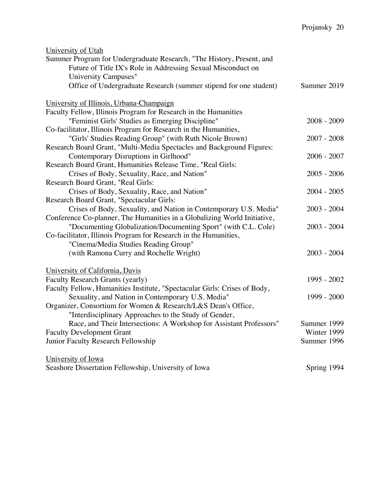| University of Utah                                                        |               |
|---------------------------------------------------------------------------|---------------|
| Summer Program for Undergraduate Research, "The History, Present, and     |               |
| Future of Title IX's Role in Addressing Sexual Misconduct on              |               |
| University Campuses"                                                      |               |
| Office of Undergraduate Research (summer stipend for one student)         | Summer 2019   |
|                                                                           |               |
| University of Illinois, Urbana-Champaign                                  |               |
| Faculty Fellow, Illinois Program for Research in the Humanities           |               |
| "Feminist Girls' Studies as Emerging Discipline"                          | $2008 - 2009$ |
| Co-facilitator, Illinois Program for Research in the Humanities,          |               |
| "Girls' Studies Reading Group" (with Ruth Nicole Brown)                   | $2007 - 2008$ |
| Research Board Grant, "Multi-Media Spectacles and Background Figures:     |               |
| Contemporary Disruptions in Girlhood"                                     | $2006 - 2007$ |
| Research Board Grant, Humanities Release Time, "Real Girls:               |               |
| Crises of Body, Sexuality, Race, and Nation"                              | $2005 - 2006$ |
| Research Board Grant, "Real Girls:                                        |               |
| Crises of Body, Sexuality, Race, and Nation"                              | $2004 - 2005$ |
| Research Board Grant, "Spectacular Girls:                                 |               |
| Crises of Body, Sexuality, and Nation in Contemporary U.S. Media"         | $2003 - 2004$ |
| Conference Co-planner, The Humanities in a Globalizing World Initiative,  |               |
| "Documenting Globalization/Documenting Sport" (with C.L. Cole)            | $2003 - 2004$ |
| Co-facilitator, Illinois Program for Research in the Humanities,          |               |
| "Cinema/Media Studies Reading Group"                                      |               |
| (with Ramona Curry and Rochelle Wright)                                   | $2003 - 2004$ |
| University of California, Davis                                           |               |
| Faculty Research Grants (yearly)                                          | 1995 - 2002   |
| Faculty Fellow, Humanities Institute, "Spectacular Girls: Crises of Body, |               |
| Sexuality, and Nation in Contemporary U.S. Media"                         | 1999 - 2000   |
| Organizer, Consortium for Women & Research/L&S Dean's Office,             |               |
| "Interdisciplinary Approaches to the Study of Gender,                     |               |
| Race, and Their Intersections: A Workshop for Assistant Professors"       | Summer 1999   |
| <b>Faculty Development Grant</b>                                          | Winter 1999   |
| Junior Faculty Research Fellowship                                        | Summer 1996   |
|                                                                           |               |
| University of Iowa                                                        |               |
| Seashore Dissertation Fellowship, University of Iowa                      | Spring 1994   |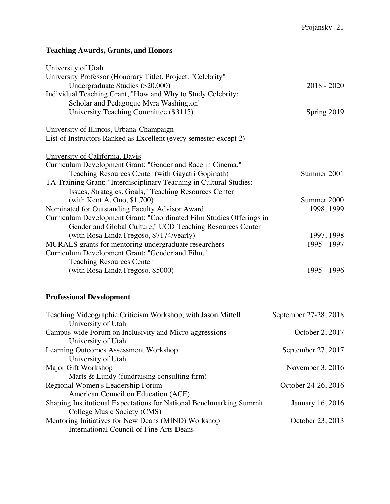# **Teaching Awards, Grants, and Honors**

| University of Utah                                                   |               |
|----------------------------------------------------------------------|---------------|
| University Professor (Honorary Title), Project: "Celebrity"          |               |
| Undergraduate Studies (\$20,000)                                     | $2018 - 2020$ |
| Individual Teaching Grant, "How and Why to Study Celebrity:          |               |
| Scholar and Pedagogue Myra Washington"                               |               |
| University Teaching Committee (\$3115)                               | Spring 2019   |
| University of Illinois, Urbana-Champaign                             |               |
| List of Instructors Ranked as Excellent (every semester except 2)    |               |
| University of California, Davis                                      |               |
| Curriculum Development Grant: "Gender and Race in Cinema,"           |               |
| Teaching Resources Center (with Gayatri Gopinath)                    | Summer 2001   |
| TA Training Grant: "Interdisciplinary Teaching in Cultural Studies:  |               |
| Issues, Strategies, Goals," Teaching Resources Center                |               |
| (with Kent A. Ono, \$1,700)                                          | Summer 2000   |
| Nominated for Outstanding Faculty Advisor Award                      | 1998, 1999    |
| Curriculum Development Grant: "Coordinated Film Studies Offerings in |               |
| Gender and Global Culture," UCD Teaching Resources Center            |               |
| (with Rosa Linda Fregoso, \$7174/yearly)                             | 1997, 1998    |
| MURALS grants for mentoring undergraduate researchers                | 1995 - 1997   |
| Curriculum Development Grant: "Gender and Film,"                     |               |
| <b>Teaching Resources Center</b>                                     |               |
| (with Rosa Linda Fregoso, \$5000)                                    | 1995 - 1996   |
|                                                                      |               |

# **Professional Development**

| Teaching Videographic Criticism Workshop, with Jason Mittell        | September 27-28, 2018 |
|---------------------------------------------------------------------|-----------------------|
| University of Utah                                                  |                       |
| Campus-wide Forum on Inclusivity and Micro-aggressions              | October 2, 2017       |
| University of Utah                                                  |                       |
| Learning Outcomes Assessment Workshop                               | September 27, 2017    |
| University of Utah                                                  |                       |
| Major Gift Workshop                                                 | November $3,2016$     |
| Marts $& Lundy$ (fundraising consulting firm)                       |                       |
| Regional Women's Leadership Forum                                   | October 24-26, 2016   |
| American Council on Education (ACE)                                 |                       |
| Shaping Institutional Expectations for National Benchmarking Summit | January 16, 2016      |
| College Music Society (CMS)                                         |                       |
| Mentoring Initiatives for New Deans (MIND) Workshop                 | October 23, 2013      |
| <b>International Council of Fine Arts Deans</b>                     |                       |